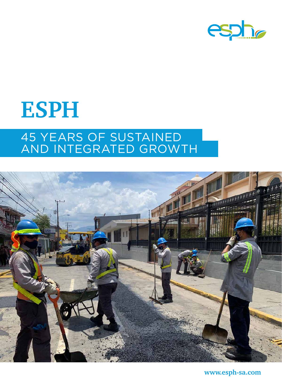

# **ESPH** 45 YEARS OF SUSTAINED AND INTEGRATED GROWTH



**www.esph-sa.com**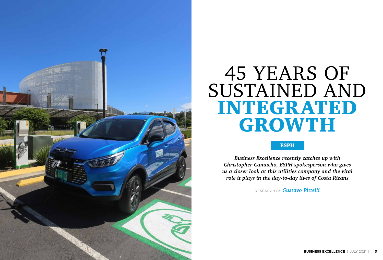*Business Excellence recently catches up with Christopher Camacho, ESPH spokesperson who gives us a closer look at this utilities company and the vital role it plays in the day-to-day lives of Costa Ricans*

RESEARCH BY *Gustavo Pittelli*

#### ESPH



# 45 YEARS OF SUSTAINED AND INTEGRATED GROWTH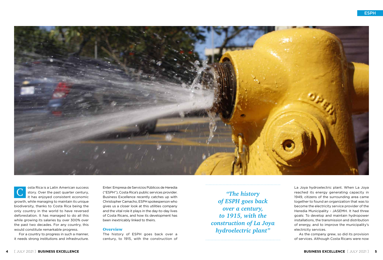For a country to progress in such a manner, it needs strong institutions and infrastructure.



osta Rica is a Latin American success story. Over the past quarter century, it has enjoyed consistent economic growth, while managing to maintain its unique biodiversity, thanks to Costa Rica being the only country in the world to have reversed deforestation. It has managed to do all this while growing its salaries by over 300% over the past two decades. For any country, this would constitute remarkable progress. C

Enter: Empresa de Servicios Públicos de Heredia ("ESPH"), Costa Rica's public services provider. Business Excellence recently catches up with Christopher Camacho, ESPH spokesperson who gives us a closer look at this utilities company and the vital role it plays in the day-to-day lives of Costa Ricans, and how its development has been inextricably linked to theirs.

#### **Overview**

The history of ESPH goes back over a century, to 1915, with the construction of



*"The history of ESPH goes back over a century, to 1915, with the construction of La Joya hydroelectric plant"*

La Joya hydroelectric plant. When La Joya reached its energy generating capacity in 1949, citizens of the surrounding area came together to found an organization that was to become the electricity service provider of the Heredia Municipality - JASEMH. It had three goals: To develop and maintain hydropower installations, the transmission and distribution of energy, and to improve the municipality's electricity services. As the company grew, so did its provision of services. Although Costa Ricans were now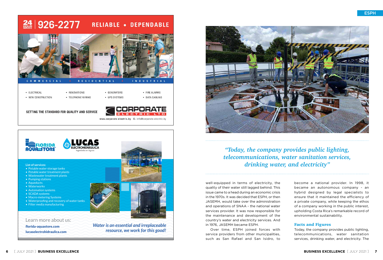

well-equipped in terms of electricity, the quality of their water still lagged behind. This issue came to a head during an economic crisis in the 1970s. It was decided that ESPH, or then JASEMH, would take over the administration and operations of SNAA - the national water services provider. It was now responsible for the maintenance and development of the country's water and electricity services. And in 1976, JASEMH became ESPH.

Over time, ESPH joined forces with service providers from other municipalities, such as San Rafael and San Isidro, to

*resource, we work for this good!*



[lucaselectrohidraulica.com](http://www.lucaselectrohidraulica.com)

**6** [ JULY 2021 ] **BUSINESS EXCELLENCE**



## *"Today, the company provides public lighting, telecommunications, water sanitation services, drinking water, and electricity"*

become a national provider. In 1998, it became an autonomous company - an hybrid designed by legal specialists to ensure that it maintained the efficiency of a private company, while keeping the ethos of a company working in the public interest, upholding Costa Rica's remarkable record of environmental sustainability.

#### Facts and Figures

Today, the company provides public lighting, telecommunications, water sanitation services, drinking water, and electricity. The

#### $\frac{24}{33}$  926-2277 **RELIABLE . DEPENDABLE**



• GENERATORS

• UPS SYSTEMS

· ELECTRICAL

· NEW CONSTRUCTION



· RENOVATIONS

• TELEPHONE WIRING



• FIRE ALARMS

· DATA CABLING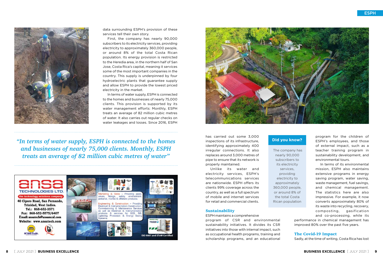

data surrounding ESPH's provision of these services tell their own story.

First, the company has nearly 90,000 subscribers to its electricity services, providing electricity to approximately 360,000 people, or around 8% of the total Costa Rican population. Its energy provision is restricted to the Heredia area, in the northern half of San Jose, Costa Rica's capital, meaning it services some of the most important companies in the country. This supply is underpinned by four hydroelectric plants that guarantee supply and allow ESPH to provide the lowest priced electricity in the market.

In terms of water supply, ESPH is connected to the homes and businesses of nearly 75,000 clients. This provision is supported by its water management efforts: Monthly, ESPH treats an average of 82 million cubic metres of water. It also carries out regular checks on water leakages and losses. Since 2016, ESPH



*"In terms of water supply, ESPH is connected to the homes and businesses of nearly 75,000 clients. Monthly, ESPH treats an average of 82 million cubic metres of water"*





has carried out some 3,000 inspections of its infrastructure, identifying approximately 400 irregular connections. It also replaces around 3,000 metres of pipe to ensure that its network is properly maintained.

Unlike its water and electricity services, ESPH's telecommunications services are nationwide. ESPH offers its clients 99% coverage across the country, as well as a full spectrum of mobile and internet services for retail and commercial clients.

#### **Sustainability**

ESPH maintains a comprehensive program of CSR and environmental sustainability initiatives. It divides its CSR initiatives into those with internal impact, such as occupational health programs, training and scholarship programs, and an educational program for the children of ESPH's employees, and those of external impact, such as a teacher training program in sustainability development, and environmental tours.

In terms of its environmental mission, ESPH also maintains extensive programs in energy saving program, water saving, waste management, fuel savings, and chemical management. The statistics here are also impressive. For example, it now converts approximately 80% of its waste into recycling, recovery, composting, gasification and co-processing, while its

performance in chemical management has improved 80% over the past five years.

#### The Covid-19 Impact

Sadly, at the time of writing, Costa Rica has lost

 The company has nearly 90,000 subscribers to its electricity services, providing electricity to approximately 360,000 people, or around 8% of the total Costa Rican population

#### **Did you know?**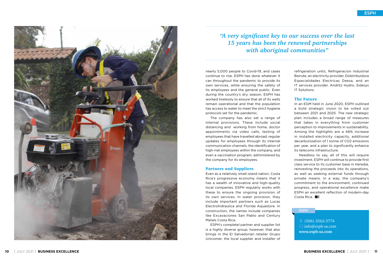nearly 5,000 people to Covid-19, and cases continue to rise. ESPH has done whatever it can throughout the pandemic to provide its own services, while ensuring the safety of its employees and the general public. Even during the country's dry season, ESPH has worked tirelessly to ensure that all of its wells remain operational and that the population has access to water to meet the strict hygiene protocols set for the pandemic.

The company has also set a range of internal provisions. These include social distancing and working from home, doctor appointments via video calls, testing of employees that have travelled abroad, regular updates for employees through its internal communication channels, the identification of high-risk employees within the company, and even a vaccination program, administered by the company for its employees.

#### Partners and Suppliers

Needless to say, all of this will require investment. ESPH will continue to provide first class service to its customer base in Heredia, reinvesting the proceeds into its operations, as well as seeking external funds through private means. In a way, the company's commitment to the environment, continued progress, and operational excellence make ESPH an excellent reflection of modern-day Costa Rica. **BE** 

#### **ESPH**

Even as a relatively small island nation, Costa Rica's progressive economy means that it has a wealth of innovative and high-quality local companies. ESPH regularly works with these to ensure the ongoing provision of its own services. In water provision, they include important partners such as Lucas Electrohidraulica and Florida Aquastore. In construction, the names include companies like Excavaciones San Pablo and Century Metals Costa Rica.

ESPH's completel partner and supplier list is a highly diverse group, however, that also brings in the El Salvadorian retailer Grupo Unicomer, the local supplier and installer of



refrigeration units, Refrigeracion Industrial Beirute, an electricity provider, Didstribuidora Especialidades Electricas Deesa, and an IT services provider, Andritz Hydro, Sidesys IT Solutions.

#### The Future

In an EGM held in June 2020, ESPH outlined a bold strategic vision to be rolled out between 2021 and 2025. The new strategic plan includes a broad range of measures that takes in everything from customer perception to improvements in sustainability. Among the highlights are a 46% increase in installed electricity capacity, additional decarbonization of 1 tonne of CO2 emissions per year, and a plan to significantly enhance its telecoms infrastructure.

 (506) 2562-3774  $\boxtimes$  info@esph-sa.com **www.esph-sa.com**



### *"A very significant key to our success over the last 15 years has been the renewed partnerships with aboriginal communities"*